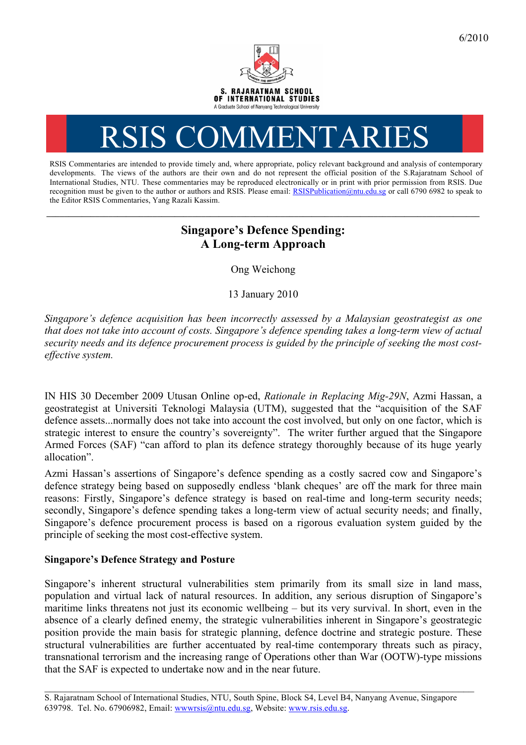

# RSIS COMMENTARI

RSIS Commentaries are intended to provide timely and, where appropriate, policy relevant background and analysis of contemporary developments. The views of the authors are their own and do not represent the official position of the S.Rajaratnam School of International Studies, NTU. These commentaries may be reproduced electronically or in print with prior permission from RSIS. Due recognition must be given to the author or authors and RSIS. Please email: RSISPublication@ntu.edu.sg or call 6790 6982 to speak to the Editor RSIS Commentaries, Yang Razali Kassim.

# **Singapore's Defence Spending: A Long-term Approach**

**\_\_\_\_\_\_\_\_\_\_\_\_\_\_\_\_\_\_\_\_\_\_\_\_\_\_\_\_\_\_\_\_\_\_\_\_\_\_\_\_\_\_\_\_\_\_\_\_\_\_\_\_\_\_\_\_\_\_\_\_\_\_\_\_\_\_\_\_\_\_\_\_\_\_\_\_\_\_\_\_\_\_\_\_\_\_\_\_\_\_\_\_\_\_\_\_\_\_**

Ong Weichong

13 January 2010

*Singapore's defence acquisition has been incorrectly assessed by a Malaysian geostrategist as one that does not take into account of costs. Singapore's defence spending takes a long-term view of actual security needs and its defence procurement process is guided by the principle of seeking the most costeffective system.*

IN HIS 30 December 2009 Utusan Online op-ed, *Rationale in Replacing Mig-29N*, Azmi Hassan, a geostrategist at Universiti Teknologi Malaysia (UTM), suggested that the "acquisition of the SAF defence assets...normally does not take into account the cost involved, but only on one factor, which is strategic interest to ensure the country's sovereignty". The writer further argued that the Singapore Armed Forces (SAF) "can afford to plan its defence strategy thoroughly because of its huge yearly allocation".

Azmi Hassan's assertions of Singapore's defence spending as a costly sacred cow and Singapore's defence strategy being based on supposedly endless 'blank cheques' are off the mark for three main reasons: Firstly, Singapore's defence strategy is based on real-time and long-term security needs; secondly, Singapore's defence spending takes a long-term view of actual security needs; and finally, Singapore's defence procurement process is based on a rigorous evaluation system guided by the principle of seeking the most cost-effective system.

## **Singapore's Defence Strategy and Posture**

Singapore's inherent structural vulnerabilities stem primarily from its small size in land mass, population and virtual lack of natural resources. In addition, any serious disruption of Singapore's maritime links threatens not just its economic wellbeing – but its very survival. In short, even in the absence of a clearly defined enemy, the strategic vulnerabilities inherent in Singapore's geostrategic position provide the main basis for strategic planning, defence doctrine and strategic posture. These structural vulnerabilities are further accentuated by real-time contemporary threats such as piracy, transnational terrorism and the increasing range of Operations other than War (OOTW)-type missions that the SAF is expected to undertake now and in the near future.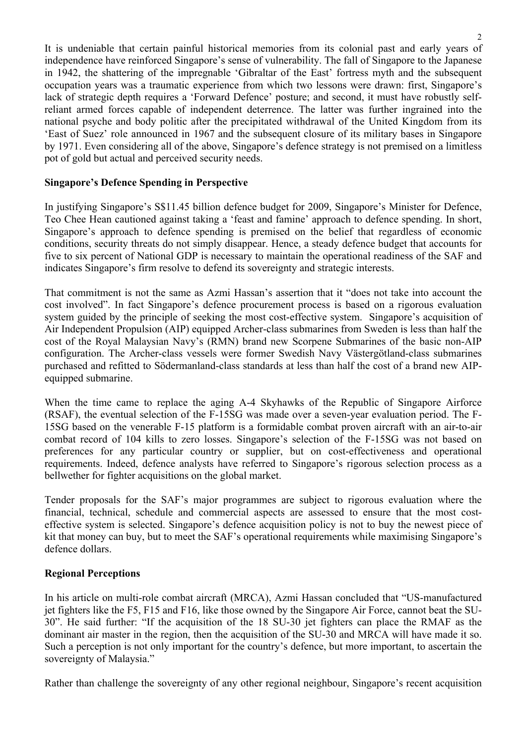It is undeniable that certain painful historical memories from its colonial past and early years of independence have reinforced Singapore's sense of vulnerability. The fall of Singapore to the Japanese in 1942, the shattering of the impregnable 'Gibraltar of the East' fortress myth and the subsequent occupation years was a traumatic experience from which two lessons were drawn: first, Singapore's lack of strategic depth requires a 'Forward Defence' posture; and second, it must have robustly selfreliant armed forces capable of independent deterrence. The latter was further ingrained into the national psyche and body politic after the precipitated withdrawal of the United Kingdom from its 'East of Suez' role announced in 1967 and the subsequent closure of its military bases in Singapore by 1971. Even considering all of the above, Singapore's defence strategy is not premised on a limitless pot of gold but actual and perceived security needs.

#### **Singapore's Defence Spending in Perspective**

In justifying Singapore's S\$11.45 billion defence budget for 2009, Singapore's Minister for Defence, Teo Chee Hean cautioned against taking a 'feast and famine' approach to defence spending. In short, Singapore's approach to defence spending is premised on the belief that regardless of economic conditions, security threats do not simply disappear. Hence, a steady defence budget that accounts for five to six percent of National GDP is necessary to maintain the operational readiness of the SAF and indicates Singapore's firm resolve to defend its sovereignty and strategic interests.

That commitment is not the same as Azmi Hassan's assertion that it "does not take into account the cost involved". In fact Singapore's defence procurement process is based on a rigorous evaluation system guided by the principle of seeking the most cost-effective system. Singapore's acquisition of Air Independent Propulsion (AIP) equipped Archer-class submarines from Sweden is less than half the cost of the Royal Malaysian Navy's (RMN) brand new Scorpene Submarines of the basic non-AIP configuration. The Archer-class vessels were former Swedish Navy Västergötland-class submarines purchased and refitted to Södermanland-class standards at less than half the cost of a brand new AIPequipped submarine.

When the time came to replace the aging A-4 Skyhawks of the Republic of Singapore Airforce (RSAF), the eventual selection of the F-15SG was made over a seven-year evaluation period. The F-15SG based on the venerable F-15 platform is a formidable combat proven aircraft with an air-to-air combat record of 104 kills to zero losses. Singapore's selection of the F-15SG was not based on preferences for any particular country or supplier, but on cost-effectiveness and operational requirements. Indeed, defence analysts have referred to Singapore's rigorous selection process as a bellwether for fighter acquisitions on the global market.

Tender proposals for the SAF's major programmes are subject to rigorous evaluation where the financial, technical, schedule and commercial aspects are assessed to ensure that the most costeffective system is selected. Singapore's defence acquisition policy is not to buy the newest piece of kit that money can buy, but to meet the SAF's operational requirements while maximising Singapore's defence dollars.

### **Regional Perceptions**

In his article on multi-role combat aircraft (MRCA), Azmi Hassan concluded that "US-manufactured jet fighters like the F5, F15 and F16, like those owned by the Singapore Air Force, cannot beat the SU-30". He said further: "If the acquisition of the 18 SU-30 jet fighters can place the RMAF as the dominant air master in the region, then the acquisition of the SU-30 and MRCA will have made it so. Such a perception is not only important for the country's defence, but more important, to ascertain the sovereignty of Malaysia."

Rather than challenge the sovereignty of any other regional neighbour, Singapore's recent acquisition